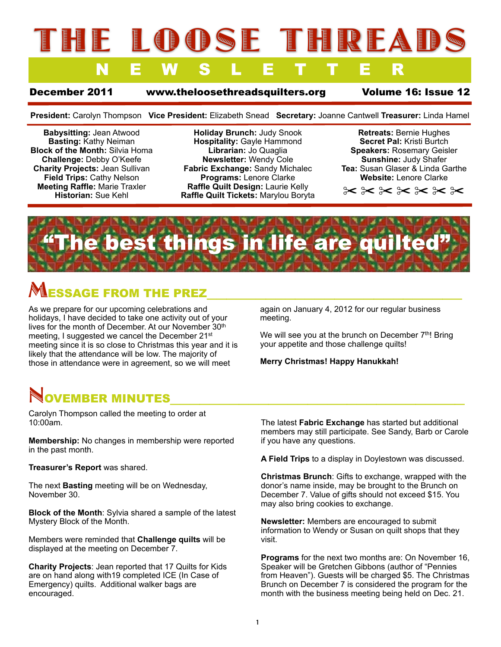# LOODSE THREAI NEWSLETTER

December 2011 [www.theloosethreadsquilters.org](http://www.loosethreadsquilters.org) Volume 16: Issue 12

**President:** Carolyn Thompson **Vice President:** Elizabeth Snead **Secretary:** Joanne Cantwell **Treasurer:** Linda Hamel

**Babysitting:** Jean Atwood **Basting:** Kathy Neiman **Block of the Month:** Silvia Homa **Challenge:** Debby O'Keefe **Charity Projects:** Jean Sullivan **Field Trips:** Cathy Nelson **Meeting Raffle:** Marie Traxler **Historian:** Sue Kehl

**Holiday Brunch:** Judy Snook **Hospitality:** Gayle Hammond **Librarian:** Jo Quaglia **Newsletter:** Wendy Cole **Fabric Exchange:** Sandy Michalec **Programs:** Lenore Clarke **Raffle Quilt Design:** Laurie Kelly **Raffle Quilt Tickets:** Marylou Boryta

**Retreats:** Bernie Hughes **Secret Pal:** Kristi Burtch **Speakers:** Rosemary Geisler **Sunshine:** Judy Shafer **Tea:** Susan Glaser & Linda Garthe **Website:** Lenore Clarke

✂ ✂ ✂ ✂ ✂ ✂ ✂



## **LESSAGE FROM THE PREZ**

As we prepare for our upcoming celebrations and holidays, I have decided to take one activity out of your lives for the month of December. At our November 30<sup>th</sup> meeting, I suggested we cancel the December 21<sup>st</sup> meeting since it is so close to Christmas this year and it is likely that the attendance will be low. The majority of those in attendance were in agreement, so we will meet

again on January 4, 2012 for our regular business meeting.

We will see you at the brunch on December  $7<sup>th</sup>$ ! Bring your appetite and those challenge quilts!

**Merry Christmas! Happy Hanukkah!**

# **NOVEMBER MINUTES**<br>Carolyn Thompson called the meeting to order at

10:00am.

**Membership:** No changes in membership were reported in the past month.

**Treasurer's Report** was shared.

The next **Basting** meeting will be on Wednesday, November 30.

**Block of the Month**: Sylvia shared a sample of the latest Mystery Block of the Month.

Members were reminded that **Challenge quilts** will be displayed at the meeting on December 7.

**Charity Projects**: Jean reported that 17 Quilts for Kids are on hand along with19 completed ICE (In Case of Emergency) quilts. Additional walker bags are encouraged.

The latest **Fabric Exchange** has started but additional members may still participate. See Sandy, Barb or Carole if you have any questions.

**A Field Trips** to a display in Doylestown was discussed.

**Christmas Brunch**: Gifts to exchange, wrapped with the donor's name inside, may be brought to the Brunch on December 7. Value of gifts should not exceed \$15. You may also bring cookies to exchange.

**Newsletter:** Members are encouraged to submit information to Wendy or Susan on quilt shops that they visit.

**Programs** for the next two months are: On November 16, Speaker will be Gretchen Gibbons (author of "Pennies from Heaven"). Guests will be charged \$5. The Christmas Brunch on December 7 is considered the program for the month with the business meeting being held on Dec. 21.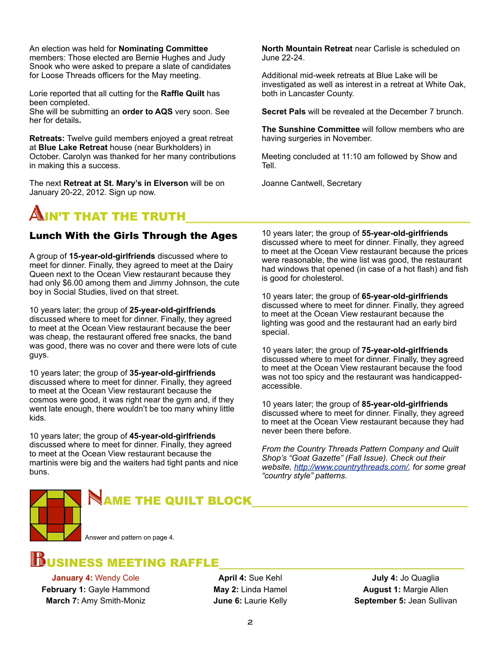Snook who were asked to prepare a slate of candidates An election was held for **Nominating Committee** members: Those elected are Bernie Hughes and Judy for Loose Threads officers for the May meeting.

Lorie reported that all cutting for the **Raffle Quilt** has been completed.

She will be submitting an **order to AQS** very soon. See her for details**.**

**Retreats:** Twelve guild members enjoyed a great retreat at **Blue Lake Retreat** house (near Burkholders) in October. Carolyn was thanked for her many contributions in making this a success.

The next **Retreat at St. Mary's in Elverson** will be on January 20-22, 2012. Sign up now.

## $\blacksquare$ IN'T THAT THE TRUTH $\blacksquare$

### Lunch With the Girls Through the Ages

A group of **15-year-old-girlfriends** discussed where to meet for dinner. Finally, they agreed to meet at the Dairy Queen next to the Ocean View restaurant because they had only \$6.00 among them and Jimmy Johnson, the cute boy in Social Studies, lived on that street.

10 years later; the group of **25-year-old-girlfriends**  discussed where to meet for dinner. Finally, they agreed to meet at the Ocean View restaurant because the beer was cheap, the restaurant offered free snacks, the band was good, there was no cover and there were lots of cute guys.

10 years later; the group of **35-year-old-girlfriends**  discussed where to meet for dinner. Finally, they agreed to meet at the Ocean View restaurant because the cosmos were good, it was right near the gym and, if they went late enough, there wouldn't be too many whiny little kids.

10 years later; the group of **45-year-old-girlfriends**  discussed where to meet for dinner. Finally, they agreed to meet at the Ocean View restaurant because the martinis were big and the waiters had tight pants and nice buns.

**North Mountain Retreat** near Carlisle is scheduled on June 22-24.

Additional mid-week retreats at Blue Lake will be investigated as well as interest in a retreat at White Oak, both in Lancaster County.

**Secret Pals** will be revealed at the December 7 brunch.

**The Sunshine Committee** will follow members who are having surgeries in November.

Meeting concluded at 11:10 am followed by Show and Tell.

Joanne Cantwell, Secretary

10 years later; the group of **55-year-old-girlfriends**  discussed where to meet for dinner. Finally, they agreed to meet at the Ocean View restaurant because the prices were reasonable, the wine list was good, the restaurant had windows that opened (in case of a hot flash) and fish is good for cholesterol.

10 years later; the group of **65-year-old-girlfriends**  discussed where to meet for dinner. Finally, they agreed to meet at the Ocean View restaurant because the lighting was good and the restaurant had an early bird special.

10 years later; the group of **75-year-old-girlfriends**  discussed where to meet for dinner. Finally, they agreed to meet at the Ocean View restaurant because the food was not too spicy and the restaurant was handicappedaccessible.

10 years later; the group of **85-year-old-girlfriends**  discussed where to meet for dinner. Finally, they agreed to meet at the Ocean View restaurant because they had never been there before.

*From the Country Threads Pattern Company and Quilt Shop's "Goat Gazette" (Fall Issue). Check out their website, [http://www.countrythreads.com/,](http://www.countrythreads.com/) for some great "country style" patterns.*



## NAME THE QUILT BLOCK

Answer and pattern on page 4.

# BUSINESS MEETING RAFFLE\_\_\_\_\_\_\_\_\_\_\_\_\_\_\_\_\_\_\_\_\_\_\_\_\_ **January 4:** Wendy Cole

**February 1:** Gayle Hammond **March 7:** Amy Smith-Moniz

**April 4:** Sue Kehl **May 2:** Linda Hamel **June 6:** Laurie Kelly

**July 4:** Jo Quaglia **August 1:** Margie Allen **September 5:** Jean Sullivan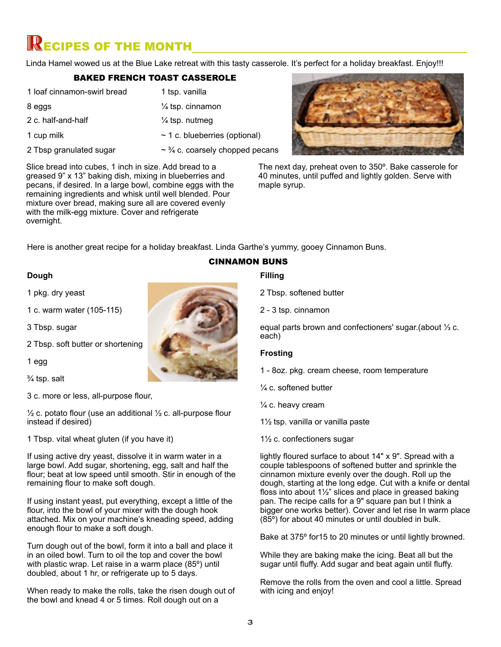## $\mathbb R$  ECIPES OF THE MONTH

Linda Hamel wowed us at the Blue Lake retreat with this tasty casserole. It's perfect for a holiday breakfast. Enjoy!!!

### BAKED FRENCH TOAST CASSEROLE

1 loaf cinnamon-swirl bread 8 eggs 2 c. half-and-half 1 cup milk 2 Tbsp granulated sugar 1 tsp. vanilla ¼ tsp. cinnamon ¼ tsp. nutmeg ~ 1 c. blueberries (optional)  $\sim$   $\frac{3}{4}$  c. coarsely chopped pecans



The next day, preheat oven to 350º. Bake casserole for 40 minutes, until puffed and lightly golden. Serve with maple syrup.

Slice bread into cubes, 1 inch in size. Add bread to a greased 9" x 13" baking dish, mixing in blueberries and pecans, if desired. In a large bowl, combine eggs with the remaining ingredients and whisk until well blended. Pour mixture over bread, making sure all are covered evenly with the milk-egg mixture. Cover and refrigerate overnight.

Here is another great recipe for a holiday breakfast. Linda Garthe's yummy, gooey Cinnamon Buns.

### **Dough**

1 pkg. dry yeast

1 c. warm water (105-115)

3 Tbsp. sugar

2 Tbsp. soft butter or shortening

1 egg

¾ tsp. salt

3 c. more or less, all-purpose flour,

 $\frac{1}{2}$  c. potato flour (use an additional  $\frac{1}{2}$  c. all-purpose flour instead if desired)

1 Tbsp. vital wheat gluten (if you have it)

If using active dry yeast, dissolve it in warm water in a large bowl. Add sugar, shortening, egg, salt and half the flour; beat at low speed until smooth. Stir in enough of the remaining flour to make soft dough.

If using instant yeast, put everything, except a little of the flour, into the bowl of your mixer with the dough hook attached. Mix on your machine's kneading speed, adding enough flour to make a soft dough.

Turn dough out of the bowl, form it into a ball and place it in an oiled bowl. Turn to oil the top and cover the bowl with plastic wrap. Let raise in a warm place (85º) until doubled, about 1 hr, or refrigerate up to 5 days.

When ready to make the rolls, take the risen dough out of the bowl and knead 4 or 5 times. Roll dough out on a

## **Filling** CINNAMON BUNS

2 Tbsp. softened butter

2 - 3 tsp. cinnamon

equal parts brown and confectioners' sugar.(about ⅓ c. each)

### **Frosting**

1 - 8oz. pkg. cream cheese, room temperature

- ¼ c. softened butter
- ¼ c. heavy cream

1½ tsp. vanilla or vanilla paste

1½ c. confectioners sugar

lightly floured surface to about 14" x 9". Spread with a couple tablespoons of softened butter and sprinkle the cinnamon mixture evenly over the dough. Roll up the dough, starting at the long edge. Cut with a knife or dental floss into about 1½" slices and place in greased baking pan. The recipe calls for a 9" square pan but I think a bigger one works better). Cover and let rise In warm place (85º) for about 40 minutes or until doubled in bulk.

Bake at 375º for15 to 20 minutes or until lightly browned.

While they are baking make the icing. Beat all but the sugar until fluffy. Add sugar and beat again until fluffy.

Remove the rolls from the oven and cool a little. Spread with icing and enjoy!

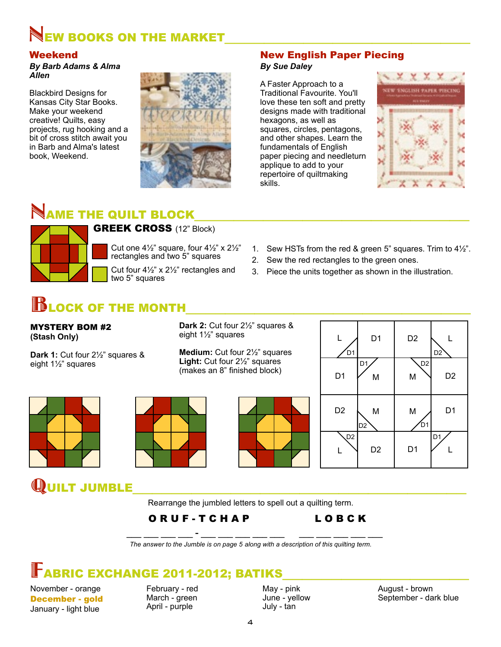# NEW BOOKS ON THE MARKET<br>Weekend

*By Barb Adams & Alma Allen*

Blackbird Designs for Kansas City Star Books. Make your weekend creative! Quilts, easy projects, rug hooking and a bit of cross stitch await you in Barb and Alma's latest book, Weekend.

# **NAME THE QUILT BLOCK<br>AND GREEK CROSS** (12" Block)



Cut one  $4\frac{1}{2}$ " square, four  $4\frac{1}{2}$ " x  $2\frac{1}{2}$ " rectangles and two 5" squares

Cut four 4½" x 2½" rectangles and two 5" squares

New English Paper Piecing

### *By Sue Daley*

A Faster Approach to a Traditional Favourite. You'll love these ten soft and pretty designs made with traditional hexagons, as well as squares, circles, pentagons, and other shapes. Learn the fundamentals of English paper piecing and needleturn applique to add to your repertoire of quiltmaking skills.



- 1. Sew HSTs from the red & green 5" squares. Trim to 4½".
- 2. Sew the red rectangles to the green ones.
- 3. Piece the units together as shown in the illustration.

## **BLOCK OF THE MONTH**

MYSTERY BOM #2 **(Stash Only)**

**Dark 1:** Cut four 2½" squares & eight 1½" squares

**Dark 2:** Cut four 2½" squares & eight 1½" squares

**Medium:** Cut four 2½" squares **Light:** Cut four 2½" squares (makes an 8" finished block)  $\begin{array}{ccc} \n\hline\n\end{array}$  D1  $\begin{array}{ccc} \n\hline\n\end{array}$  M









 $\mathbf Q$ UILT JUMBLE  $\mathbf R$  Rearrange the jumbled letters to spell out a quilting term.

## O R U F - T C H A P L O B C K

 **\_\_\_ \_\_\_ \_\_\_ \_\_\_ - \_\_\_ \_\_\_ \_\_\_ \_\_\_ \_\_\_ \_\_\_ \_\_\_ \_\_\_ \_\_\_ \_\_\_**  *The answer to the Jumble is on page 5 along with a description of this quilting term.*

## **FABRIC EXCHANGE 2011-2012; BATIKS**

November - orange December - gold January - light blue

February - red March - green April - purple

May - pink June - yellow July - tan

August - brown September - dark blue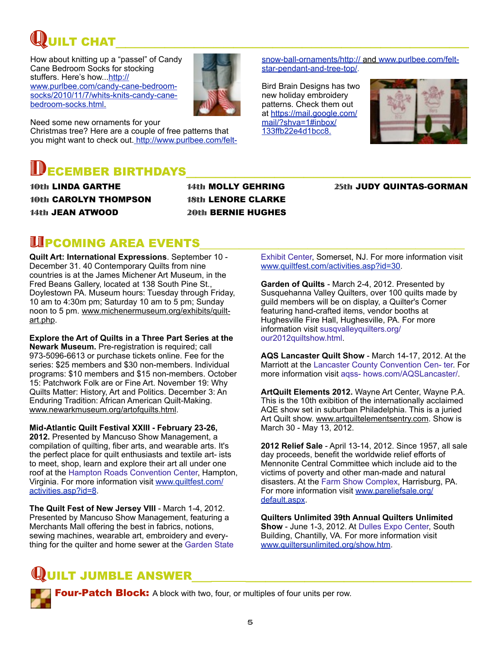# QUILT CHAT\_\_\_\_\_\_\_\_\_\_\_\_\_\_\_\_\_\_\_\_\_\_\_\_\_\_\_\_\_\_\_\_\_\_\_\_

How about knitting up a "passel" of Candy Cane Bedroom Socks for stocking stuffers. Here's how..[.http://](http://www.purlbee.com/candy-cane-bedroom-socks/2010/11/7/whits-knits-candy-cane-bedroom-socks.html) [www.purlbee.com/candy-cane-bedroom](http://www.purlbee.com/candy-cane-bedroom-socks/2010/11/7/whits-knits-candy-cane-bedroom-socks.html)[socks/2010/11/7/whits-knits-candy-cane](http://www.purlbee.com/candy-cane-bedroom-socks/2010/11/7/whits-knits-candy-cane-bedroom-socks.html)[bedroom-socks.html.](http://www.purlbee.com/candy-cane-bedroom-socks/2010/11/7/whits-knits-candy-cane-bedroom-socks.html)



Need some new ornaments for your Christmas tree? Here are a couple of free patterns that you might want to check out[. http://www.purlbee.com/felt-](http://www.purlbee.com/felt-snow-ball-ornaments/)

# **DECEMBER BIRTHDAYS**<br>10th LINDA GARTHE

10th CAROLYN THOMPSON 14th JEAN ATWOOD

14th MOLLY GEHRING 18th LENORE CLARKE 20th BERNIE HUGHES 25th JUDY QUINTAS-GORMAN

# **UPCOMING AREA EVENTS**<br>Quilt Art: International Expressions. September 10 -

December 31. 40 Contemporary Quilts from nine countries is at the James Michener Art Museum, in the Fred Beans Gallery, located at 138 South Pine St., Doylestown PA. Museum hours: Tuesday through Friday, 10 am to 4:30m pm; Saturday 10 am to 5 pm; Sunday noon to 5 pm. [www.michenermuseum.org/exhibits/quilt](http://www.michenermuseum.org/exhibits/quilt-art.php)[art.php.](http://www.michenermuseum.org/exhibits/quilt-art.php)

**Explore the Art of Quilts in a Three Part Series at the Newark Museum.** Pre-registration is required; call 973-5096-6613 or purchase tickets online. Fee for the series: \$25 members and \$30 non-members. Individual programs: \$10 members and \$15 non-members. October 15: Patchwork Folk are or Fine Art. November 19: Why Quilts Matter: History, Art and Politics. December 3: An Enduring Tradition: African American Quilt-Making. [www.newarkmuseum.org/artofquilts.html.](http://www.newarkmuseum.org/artofquilts.html)

**Mid-Atlantic Quilt Festival XXIII - February 23-26, 2012.** Presented by Mancuso Show Management, a compilation of quilting, fiber arts, and wearable arts. It's the perfect place for quilt enthusiasts and textile art- ists to meet, shop, learn and explore their art all under one roof at the Hampton Roads Convention Center, Hampton, Virginia. For more information visit [www.quiltfest.com/](http://www.quiltfest.com/activities.asp?id=8) [activities.asp?id=8.](http://www.quiltfest.com/activities.asp?id=8)

**The Quilt Fest of New Jersey VIII** - March 1-4, 2012. Presented by Mancuso Show Management, featuring a Merchants Mall offering the best in fabrics, notions, sewing machines, wearable art, embroidery and everything for the quilter and home sewer at the Garden State Exhibit Center, Somerset, NJ. For more information visit [www.quiltfest.com/activities.asp?id=30.](http://www.quiltfest.com/activities.asp?id=30)

[snow-ball-ornaments/](http://www.purlbee.com/felt-snow-ball-ornaments/)[http:// and www.purlbee.com/felt-](http://www.purlbee.com/felt-star-pendant-and-tree-top/)

[star-pendant-and-tree-top/.](http://www.purlbee.com/felt-star-pendant-and-tree-top/)

Bird Brain Designs has two new holiday embroidery patterns. Check them out at [https://mail.google.com/](https://mail.google.com/mail/?shva=1#inbox/133ffb22e4d1bcc8) [mail/?shva=1#inbox/](https://mail.google.com/mail/?shva=1#inbox/133ffb22e4d1bcc8) [133ffb22e4d1bcc8.](https://mail.google.com/mail/?shva=1#inbox/133ffb22e4d1bcc8)

**Garden of Quilts** - March 2-4, 2012. Presented by Susquehanna Valley Quilters, over 100 quilts made by guild members will be on display, a Quilter's Corner featuring hand-crafted items, vendor booths at Hughesville Fire Hall, Hughesville, PA. For more information visit susqvalleyquilters.org/ our2012quiltshow.html.

**AQS Lancaster Quilt Show** - March 14-17, 2012. At the Marriott at the Lancaster County Convention Cen- ter. For more information visit aqss- hows.com/AQSLancaster/.

**ArtQuilt Elements 2012.** Wayne Art Center, Wayne P.A. This is the 10th exibition of the internationally acclaimed AQE show set in suburban Philadelphia. This is a juried Art Quilt show. [www.artquiltelementsentry.com.](http://www.artquiltelementsentry.com) Show is March 30 - May 13, 2012.

**2012 Relief Sale** - April 13-14, 2012. Since 1957, all sale day proceeds, benefit the worldwide relief efforts of Mennonite Central Committee which include aid to the victims of poverty and other man-made and natural disasters. At the Farm Show Complex, Harrisburg, PA. For more information visit [www.pareliefsale.org/](http://www.pareliefsale.org/default.aspx) [default.aspx.](http://www.pareliefsale.org/default.aspx)

**Quilters Unlimited 39th Annual Quilters Unlimited Show** - June 1-3, 2012. At Dulles Expo Center, South Building, Chantilly, VA. For more information visit [www.quiltersunlimited.org/show.htm.](http://www.quiltersunlimited.org/show.htm)

## JILT JUMBLE ANSWER

Four-Patch Block: A block with two, four, or multiples of four units per row.